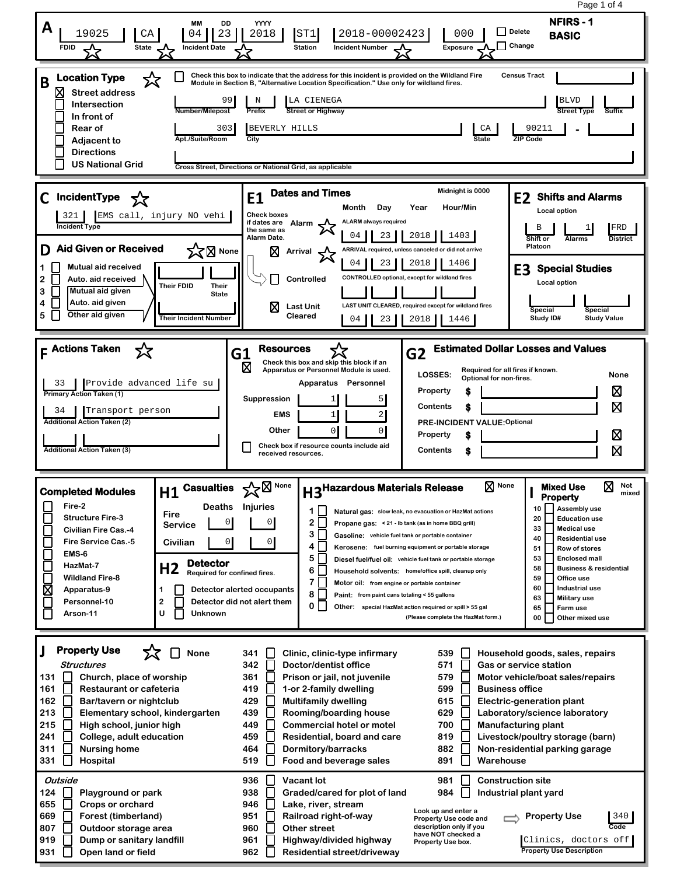Page 1 of 4**NFIRS - 1 MM DD YYYY A** 19025 **CA 04 23 2018 ST1 2018-00002423** 000 **D** Pelete **BASIC Delete FDID A State A Incident Date Station Incident Number Exposure Change Check this box to indicate that the address for this incident is provided on the Wildland Fire Location Type** ☆ **Census Tract B Module in Section B, "Alternative Location Specification." Use only for wildland fires. Street address** N | LA CIENEGA 99 BLVD **Intersection Number/Milepost Prefix Street or Highway In front of Rear of** 303 BEVERLY HILLS **CA 30211 - Adjacent to Apt./Suite/Room City State ZIP Code Directions US National Grid Cross Street, Directions or National Grid, as applicable E1 Dates and Times Midnight is 0000**<br>Month Day Year Hour/Min **C IncidentType E2 Shifts and Alarms Month Day Year Hour/Min Local option** 321 EMS call, injury NO vehi **Check boxes ALARM always required if dates are Alarm Incident Ty** B 1 1 FRD **the same as**  04  $\parallel$  23  $\parallel$  2018  $\parallel$  1403 **Alarm Date. Shift or Alarms District D Aid Given or Received Platoon X**<br>X<br>
Mone **Arrival ARRIVAL required, unless canceled or did not arrive** 04 | 23 | 2018 | 1406 **1 Mutual aid received E3 Special Studies CONTROLLED optional, except for wildland fires 2 Auto. aid received Controlled Local option Their FDID Their 3 Mutual aid given State Auto. aid given 4 LAST UNIT CLEARED, required except for wildland fires Last Unit Special Special 5 Other aid given Cleared Study ID# Their Incident Number** 04 | 23 | 2018 | 1446 **Study Value F Actions Taken G2 Estimated Dollar Losses and Values G1 Resources**<br> **D Check this box**<br> **Apparatus or P** ⋝Ӡ **Check this box and skip this block if an Apparatus or Personnel Module is used. Required for all fires if known. LOSSES: Optional for non-fires. None Apparatus Personnel** 33 Provide advanced life su ⊠ **Property \$ Primary Action Taken (1) Suppression** 1 5 冈 **Contents \$** 34 Transport person 1 2 **EMS Additional Action Taken (2) PRE-INCIDENT VALUE:Optional Other** 0 0 **Property** ⊠ **\$ Check box if resource counts include aid Additional Action Taken (3)** 冈 **Contents \$ received resources. H3<sup>Hazardous Materials Release**  $\boxtimes$  None **H** Mixed Use  $\boxtimes$  Not mixed</sup> **H1 Casualties None None Mixed Use I Completed Modules Property Fire-2 Deaths Injuries 10 Assembly use 1 Natural gas: slow leak, no evacuation or HazMat actions Fire Structure Fire-3 20 Education use**  $2 \Gamma$  0 0 **Service Propane gas: < 21 - lb tank (as in home BBQ grill) 33 Medical use Civilian Fire Cas.-4**  $3\Box$ **Gasoline: vehicle fuel tank or portable container 40 Residential use Fire Service Cas.-5 Civilian** 0 0 Г **4 Kerosene: fuel burning equipment or portable storage 51 Row of stores EMS-6** Г **5 53 Enclosed mall Diesel fuel/fuel oil: vehicle fuel tank or portable storage Detector HazMat-7 H2 Required for confined fires.** Г **58 Business & residential 6 Household solvents: home/office spill, cleanup only Wildland Fire-8 59 Office use 7 Motor oil: from engine or portable container** ⊠ **60 Industrial use 1 Detector alerted occupants Apparatus-9 8 Paint: from paint cans totaling < 55 gallons 63 Military use Personnel-10 2 Detector did not alert them** Г **0 65 Farm use Other: special HazMat action required or spill > 55 gal**  $\Box$ **Arson-11 U Unknown (Please complete the HazMat form.) 00 Other mixed use J Property Use** ⊓ י≾ **None Clinic, clinic-type infirmary 341 539 Household goods, sales, repairs Structures 342 Doctor/dentist office 571 Gas or service station 131 Church, place of worship 361 Prison or jail, not juvenile 579 Motor vehicle/boat sales/repairs 161 Restaurant or cafeteria 419 1-or 2-family dwelling 599 Business office 162 Bar/tavern or nightclub 429 Multifamily dwelling 615 Electric-generation plant 213 439 629 Elementary school, kindergarten Rooming/boarding house Laboratory/science laboratory 700 215**  $\mathsf{L}$ **High school, junior high 449 Commercial hotel or motel Manufacturing plant 241 College, adult education 459 Residential, board and care 819 Livestock/poultry storage (barn) 882 311 Nursing home 464 Dormitory/barracks Non-residential parking garage 331 Hospital 519 Food and beverage sales 891** П **Warehouse Outside 936 Vacant lot 981 Construction site 984 124 Playground or park 938 Graded/cared for plot of land Industrial plant yard 655 946 Crops or orchard Lake, river, stream Look up and enter a 669 Forest (timberland) 951 Railroad right-of-way Property Use** 340 **Property Use code and Code 807 Outdoor storage area 960 Other street description only if you have NOT checked a 919 Dump or sanitary landfill 961 Highway/divided highway** Clinics, doctors off **Property Use box. 931 Open land or field 962 Residential street/driveway Property Use Description**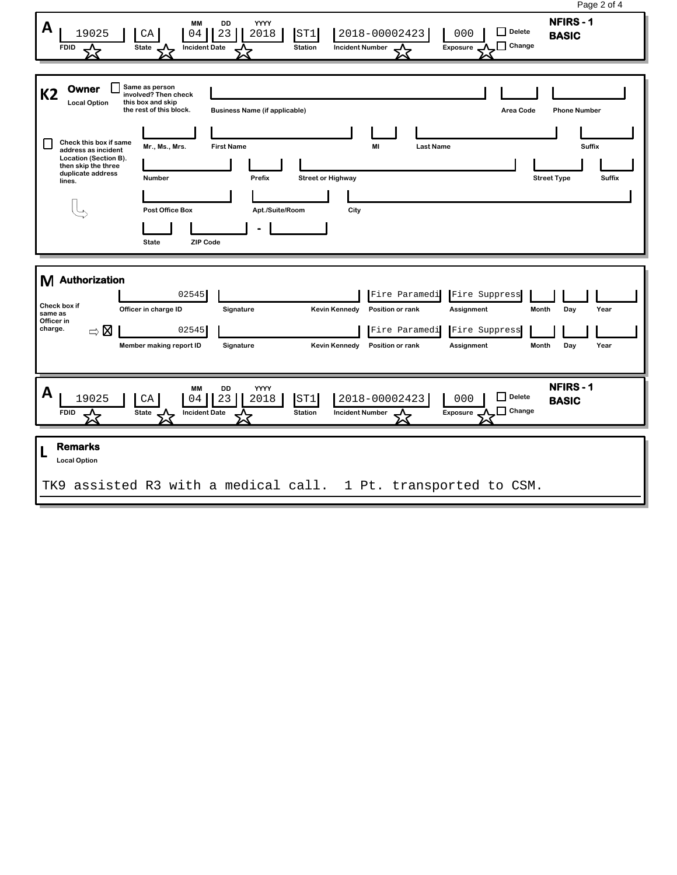| Page 2 of 4                                                                                                                                                                                                                                                                                                                                                                                                                           |  |
|---------------------------------------------------------------------------------------------------------------------------------------------------------------------------------------------------------------------------------------------------------------------------------------------------------------------------------------------------------------------------------------------------------------------------------------|--|
| <b>NFIRS-1</b><br>YYYY<br><b>MM</b><br>DD<br>A<br>$\Box$ Delete<br>19025<br>2018-00002423<br>$\rm CA$<br>23<br>2018<br>ST1<br>000<br>04<br><b>BASIC</b><br>$\Box$ Change<br>State<br><b>Incident Date</b><br><b>Station</b><br><b>Incident Number</b><br>Exposure<br><b>FDID</b>                                                                                                                                                      |  |
| Same as person<br>Owner<br><b>K2</b><br>involved? Then check<br><b>Local Option</b><br>this box and skip<br>the rest of this block.<br><b>Business Name (if applicable)</b><br><b>Phone Number</b><br>Area Code<br>Check this box if same<br><b>Suffix</b><br>MI<br><b>Last Name</b><br>Mr., Ms., Mrs.<br><b>First Name</b>                                                                                                           |  |
| address as incident<br>Location (Section B).<br>then skip the three<br>duplicate address<br>Number<br>Prefix<br><b>Street Type</b><br><b>Suffix</b><br><b>Street or Highway</b><br>lines.<br><b>Post Office Box</b><br>Apt./Suite/Room<br>City<br><b>ZIP Code</b><br><b>State</b>                                                                                                                                                     |  |
| M Authorization<br>02545<br>Fire Paramedi<br>Fire Suppress<br>Check box if<br>Officer in charge ID<br>Signature<br><b>Kevin Kennedy</b><br>Position or rank<br>Assignment<br>Month<br>Day<br>Year<br>same as<br>Officer in<br>charge.<br>$\Rightarrow \boxtimes$<br>02545<br>Fire Paramedi<br>Fire Suppress<br>Assignment<br>Day<br>Year<br>Member making report ID<br>Signature<br><b>Kevin Kennedy</b><br>Position or rank<br>Month |  |
| <b>NFIRS-1</b><br>DD<br>YYYY<br><b>MM</b><br>A<br>$\Box$ Delete<br>19025<br>23<br>2018<br>ST1<br>2018-00002423<br>000<br>CA<br>04<br><b>BASIC</b><br>$\Box$ Change<br>State<br><b>Incident Number</b><br>Exposure<br><b>FDID</b><br><b>Incident Date</b><br><b>Station</b><br>┸<br>┻<br>ᄾ<br>∼                                                                                                                                        |  |
| <b>Remarks</b><br><b>Local Option</b><br>assisted R3 with a medical call. 1 Pt. transported to CSM.<br>TK9                                                                                                                                                                                                                                                                                                                            |  |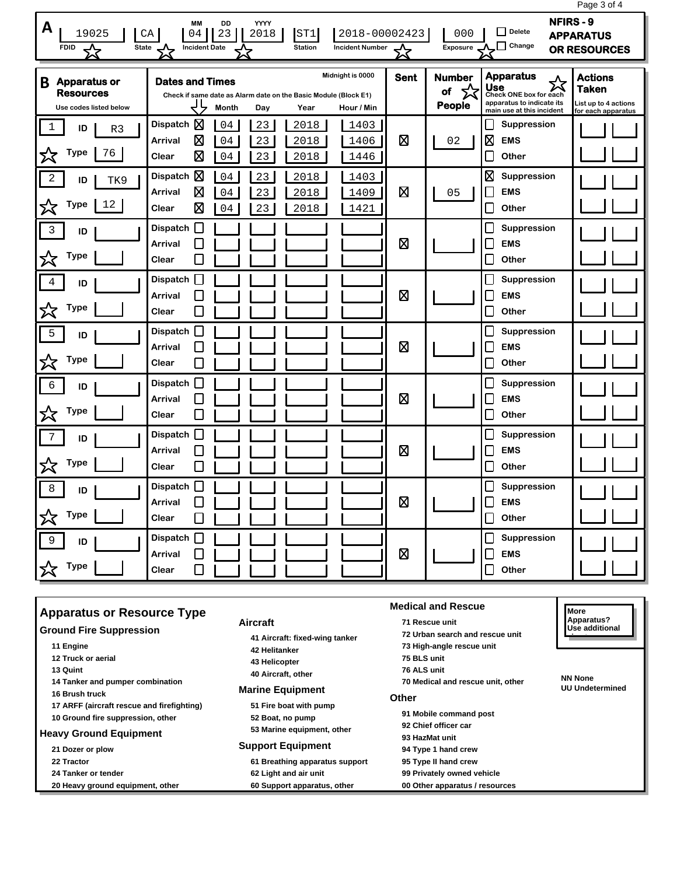|                                                                        |                                                                                                                                                     |                    |                                           | Page 3 of 4                                                                                                                                                                                      |  |
|------------------------------------------------------------------------|-----------------------------------------------------------------------------------------------------------------------------------------------------|--------------------|-------------------------------------------|--------------------------------------------------------------------------------------------------------------------------------------------------------------------------------------------------|--|
| A<br>19025<br><b>State</b><br><b>FDID</b><br>╳                         | YYYY<br>DD<br><b>MM</b><br>23<br>2018<br>CA<br>04<br>ST1<br><b>Incident Date</b><br><b>Station</b><br><b>Incident Number</b>                        | 2018-00002423<br>☆ | 000<br><b>Exposure</b>                    | <b>NFIRS-9</b><br>Delete<br><b>APPARATUS</b><br>$\Box$ Change<br>OR RESOURCES                                                                                                                    |  |
| <b>Apparatus or</b><br>B<br><b>Resources</b><br>Use codes listed below | Midnight is 0000<br><b>Dates and Times</b><br>Check if same date as Alarm date on the Basic Module (Block E1)<br>Month<br>Day<br>Year<br>Hour / Min | <b>Sent</b>        | <b>Number</b><br>☆<br>of<br><b>People</b> | <b>Apparatus</b><br><b>Actions</b><br>公<br>Use<br><b>Taken</b><br>Check ONE box for each<br>apparatus to indicate its<br>List up to 4 actions<br>main use at this incident<br>for each apparatus |  |
| 1<br>ID<br>R <sub>3</sub><br><b>Type</b><br>76<br>父                    | Dispatch $\boxtimes$<br>04<br>23<br>2018<br>1403<br>⊠<br><b>Arrival</b><br>04<br>23<br>2018<br>1406<br>図<br>23<br>Clear<br>04<br>2018<br>1446       | ⊠                  | 02                                        | ப<br>Suppression<br>⊠<br><b>EMS</b><br>L<br>Other                                                                                                                                                |  |
| 2<br>ID<br>TK9<br><b>Type</b><br>12<br>╳                               | 図<br><b>Dispatch</b><br>04<br>23<br>2018<br>1403<br>図<br>23<br>Arrival<br>04<br>2018<br>1409<br>⊠<br>04<br>23<br>2018<br>1421<br>Clear              | 図                  | 05                                        | ⊠<br>Suppression<br><b>EMS</b><br>L<br>Other<br>L                                                                                                                                                |  |
| $\overline{3}$<br>ID<br><b>Type</b>                                    | Dispatch $\square$<br><b>Arrival</b><br>Clear                                                                                                       | ⊠                  |                                           | L<br>Suppression<br><b>EMS</b><br>Г<br>Other                                                                                                                                                     |  |
| 4<br>ID<br><b>Type</b><br>公                                            | <b>Dispatch</b><br>Arrival<br>Clear<br>$\mathbb{R}^n$                                                                                               | ⊠                  |                                           | $\Box$<br>Suppression<br><b>EMS</b><br>Other<br>L                                                                                                                                                |  |
| 5<br>ID<br><b>Type</b><br>父                                            | <b>Dispatch</b><br>$\mathsf{I}$<br>Arrival<br>Clear                                                                                                 | ⊠                  |                                           | <b>Suppression</b><br>L<br><b>EMS</b><br>L<br>$\Box$<br>Other                                                                                                                                    |  |
| $\epsilon$<br>ID<br><b>Type</b><br>╳                                   | П<br>Dispatch<br>Arrival<br>Clear                                                                                                                   | 図                  |                                           | $\Box$<br>Suppression<br><b>EMS</b><br>$\Box$<br>Other                                                                                                                                           |  |
| 7<br>ID<br><b>Type</b><br>☆                                            | <b>Dispatch</b><br>Arrival<br>$\mathcal{L}_{\mathcal{A}}$<br>Clear                                                                                  | 図                  |                                           | $\mathsf{L}$<br>Suppression<br><b>EMS</b><br>$\Box$<br>Other                                                                                                                                     |  |
| 8<br>ID<br><b>Type</b>                                                 | П<br><b>Dispatch</b><br>Arrival<br>$\blacksquare$<br>Clear                                                                                          | ⊠                  |                                           | L<br>Suppression<br>$\Box$<br><b>EMS</b><br>⊔<br>Other                                                                                                                                           |  |
| 9<br>ID<br><b>Type</b><br>公                                            | □<br><b>Dispatch</b><br>Arrival<br>$\Box$<br>Clear                                                                                                  | 図                  |                                           | $\Box$<br>Suppression<br><b>EMS</b><br>Other<br>$\overline{\phantom{a}}$                                                                                                                         |  |

| 11 Engine<br>42 Helitanker<br>12 Truck or aerial<br>75 BLS unit<br>43 Helicopter<br>76 ALS unit<br>13 Quint<br>40 Aircraft, other<br>14 Tanker and pumper combination<br><b>Marine Equipment</b><br>16 Brush truck<br><b>Other</b><br>17 ARFF (aircraft rescue and firefighting)<br>51 Fire boat with pump<br>10 Ground fire suppression, other<br>52 Boat, no pump<br>53 Marine equipment, other<br><b>Heavy Ground Equipment</b><br><b>Support Equipment</b><br>21 Dozer or plow<br>22 Tractor<br>61 Breathing apparatus support<br>24 Tanker or tender<br>62 Light and air unit<br>20 Heavy ground equipment, other<br>60 Support apparatus, other | 72 Urban search and rescue unit<br>73 High-angle rescue unit<br><b>NN None</b><br>70 Medical and rescue unit, other<br><b>UU Undetermined</b><br>91 Mobile command post<br>92 Chief officer car<br>93 HazMat unit<br>94 Type 1 hand crew<br>95 Type II hand crew<br>99 Privately owned vehicle<br>00 Other apparatus / resources |
|-------------------------------------------------------------------------------------------------------------------------------------------------------------------------------------------------------------------------------------------------------------------------------------------------------------------------------------------------------------------------------------------------------------------------------------------------------------------------------------------------------------------------------------------------------------------------------------------------------------------------------------------------------|----------------------------------------------------------------------------------------------------------------------------------------------------------------------------------------------------------------------------------------------------------------------------------------------------------------------------------|
|-------------------------------------------------------------------------------------------------------------------------------------------------------------------------------------------------------------------------------------------------------------------------------------------------------------------------------------------------------------------------------------------------------------------------------------------------------------------------------------------------------------------------------------------------------------------------------------------------------------------------------------------------------|----------------------------------------------------------------------------------------------------------------------------------------------------------------------------------------------------------------------------------------------------------------------------------------------------------------------------------|